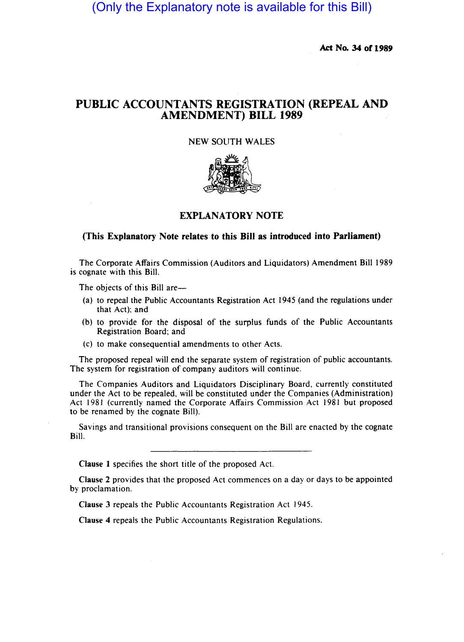(Only the Explanatory note is available for this Bill)

Act No. 34 of 1989

# PUBLIC ACCOUNTANTS REGISTRATION (REPEAL AND AMENDMENT) BILL 1989

### NEW SOUTH WALES



## EXPLANATORY NOTE

### (This Explanatory Note relates to this Bill as introduced into Parliament)

The Corporate Affairs Commission (Auditors and Liquidators) Amendment Bill 1989 is cognate with this Bill.

The objects of this Bill are-

- (a) to repeal the Public Accountants Registration Act 1945 (and the regulations under that Act): and
- (b) to provide for the disposal of the surplus funds of the Public Accountants Registration Board; and
- (c) to make consequential amendments to other Acts.

The proposed repeal will end the separate system of registration of public accountants. The system for registration of company auditors will continue.

The Companies Auditors and Liquidators Disciplinary Board, currently constituted under the Act to be repealed, will be constituted under the Companies (Administration) Act 1981 (currently named the Corporate Affairs Commission Act 1981 but proposed to be renamed by the cognate Bill).

Savings and transitional provisions consequent on the Bill are enacted by the cognate Bill.

Clause 1 specifies the short title of the proposed Act.

Clause 2 provides that the proposed Act commences on a day or days to be appointed by proclamation.

Clause 3 repeals the Public Accountants Registration Act 1945.

Clause 4 repeals the Public Accountants Registration Regulations.